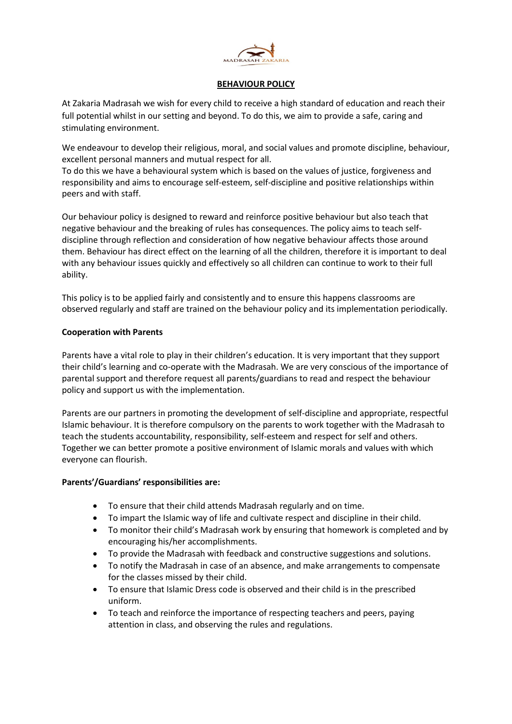

# BEHAVIOUR POLICY

At Zakaria Madrasah we wish for every child to receive a high standard of education and reach their full potential whilst in our setting and beyond. To do this, we aim to provide a safe, caring and stimulating environment.

We endeavour to develop their religious, moral, and social values and promote discipline, behaviour, excellent personal manners and mutual respect for all.

To do this we have a behavioural system which is based on the values of justice, forgiveness and responsibility and aims to encourage self-esteem, self-discipline and positive relationships within peers and with staff.

Our behaviour policy is designed to reward and reinforce positive behaviour but also teach that negative behaviour and the breaking of rules has consequences. The policy aims to teach selfdiscipline through reflection and consideration of how negative behaviour affects those around them. Behaviour has direct effect on the learning of all the children, therefore it is important to deal with any behaviour issues quickly and effectively so all children can continue to work to their full ability.

This policy is to be applied fairly and consistently and to ensure this happens classrooms are observed regularly and staff are trained on the behaviour policy and its implementation periodically.

# Cooperation with Parents

Parents have a vital role to play in their children's education. It is very important that they support their child's learning and co-operate with the Madrasah. We are very conscious of the importance of parental support and therefore request all parents/guardians to read and respect the behaviour policy and support us with the implementation.

Parents are our partners in promoting the development of self-discipline and appropriate, respectful Islamic behaviour. It is therefore compulsory on the parents to work together with the Madrasah to teach the students accountability, responsibility, self-esteem and respect for self and others. Together we can better promote a positive environment of Islamic morals and values with which everyone can flourish.

#### Parents'/Guardians' responsibilities are:

- To ensure that their child attends Madrasah regularly and on time.
- To impart the Islamic way of life and cultivate respect and discipline in their child.
- To monitor their child's Madrasah work by ensuring that homework is completed and by encouraging his/her accomplishments.
- To provide the Madrasah with feedback and constructive suggestions and solutions.
- To notify the Madrasah in case of an absence, and make arrangements to compensate for the classes missed by their child.
- To ensure that Islamic Dress code is observed and their child is in the prescribed uniform.
- To teach and reinforce the importance of respecting teachers and peers, paying attention in class, and observing the rules and regulations.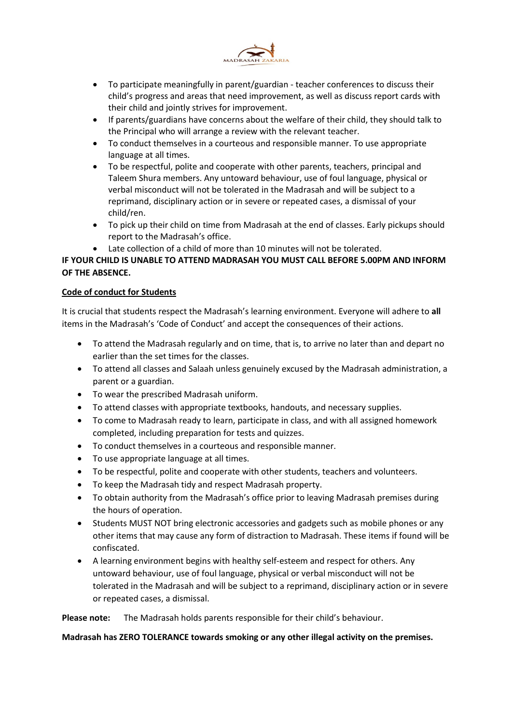

- To participate meaningfully in parent/guardian teacher conferences to discuss their child's progress and areas that need improvement, as well as discuss report cards with their child and jointly strives for improvement.
- If parents/guardians have concerns about the welfare of their child, they should talk to the Principal who will arrange a review with the relevant teacher.
- To conduct themselves in a courteous and responsible manner. To use appropriate language at all times.
- To be respectful, polite and cooperate with other parents, teachers, principal and Taleem Shura members. Any untoward behaviour, use of foul language, physical or verbal misconduct will not be tolerated in the Madrasah and will be subject to a reprimand, disciplinary action or in severe or repeated cases, a dismissal of your child/ren.
- To pick up their child on time from Madrasah at the end of classes. Early pickups should report to the Madrasah's office.
- Late collection of a child of more than 10 minutes will not be tolerated.

# IF YOUR CHILD IS UNABLE TO ATTEND MADRASAH YOU MUST CALL BEFORE 5.00PM AND INFORM OF THE ABSENCE.

# Code of conduct for Students

It is crucial that students respect the Madrasah's learning environment. Everyone will adhere to all items in the Madrasah's 'Code of Conduct' and accept the consequences of their actions.

- To attend the Madrasah regularly and on time, that is, to arrive no later than and depart no earlier than the set times for the classes.
- To attend all classes and Salaah unless genuinely excused by the Madrasah administration, a parent or a guardian.
- To wear the prescribed Madrasah uniform.
- To attend classes with appropriate textbooks, handouts, and necessary supplies.
- To come to Madrasah ready to learn, participate in class, and with all assigned homework completed, including preparation for tests and quizzes.
- To conduct themselves in a courteous and responsible manner.
- To use appropriate language at all times.
- To be respectful, polite and cooperate with other students, teachers and volunteers.
- To keep the Madrasah tidy and respect Madrasah property.
- To obtain authority from the Madrasah's office prior to leaving Madrasah premises during the hours of operation.
- Students MUST NOT bring electronic accessories and gadgets such as mobile phones or any other items that may cause any form of distraction to Madrasah. These items if found will be confiscated.
- A learning environment begins with healthy self-esteem and respect for others. Any untoward behaviour, use of foul language, physical or verbal misconduct will not be tolerated in the Madrasah and will be subject to a reprimand, disciplinary action or in severe or repeated cases, a dismissal.

Please note: The Madrasah holds parents responsible for their child's behaviour.

#### Madrasah has ZERO TOLERANCE towards smoking or any other illegal activity on the premises.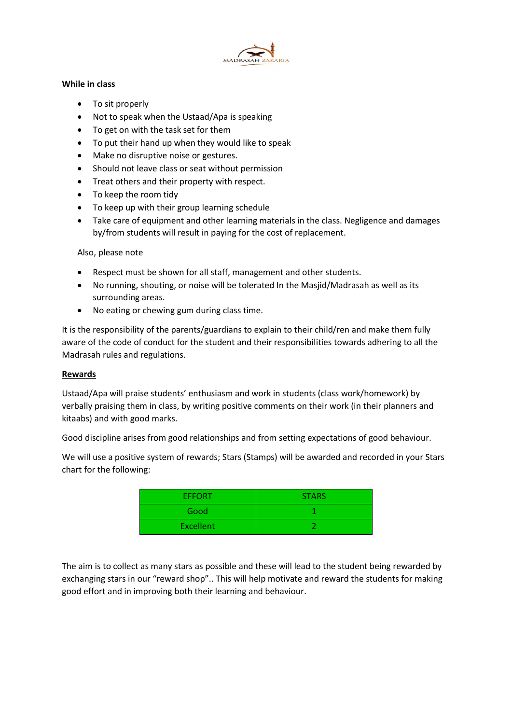

# While in class

- To sit properly
- Not to speak when the Ustaad/Apa is speaking
- To get on with the task set for them
- To put their hand up when they would like to speak
- Make no disruptive noise or gestures.
- Should not leave class or seat without permission
- Treat others and their property with respect.
- To keep the room tidy
- To keep up with their group learning schedule
- Take care of equipment and other learning materials in the class. Negligence and damages by/from students will result in paying for the cost of replacement.

# Also, please note

- Respect must be shown for all staff, management and other students.
- No running, shouting, or noise will be tolerated In the Masjid/Madrasah as well as its surrounding areas.
- No eating or chewing gum during class time.

It is the responsibility of the parents/guardians to explain to their child/ren and make them fully aware of the code of conduct for the student and their responsibilities towards adhering to all the Madrasah rules and regulations.

#### Rewards

Ustaad/Apa will praise students' enthusiasm and work in students (class work/homework) by verbally praising them in class, by writing positive comments on their work (in their planners and kitaabs) and with good marks.

Good discipline arises from good relationships and from setting expectations of good behaviour.

We will use a positive system of rewards; Stars (Stamps) will be awarded and recorded in your Stars chart for the following:

| <b>EFFORT</b>    | <b>STARS</b> |
|------------------|--------------|
| Good             |              |
| <b>Excellent</b> |              |

The aim is to collect as many stars as possible and these will lead to the student being rewarded by exchanging stars in our "reward shop".. This will help motivate and reward the students for making good effort and in improving both their learning and behaviour.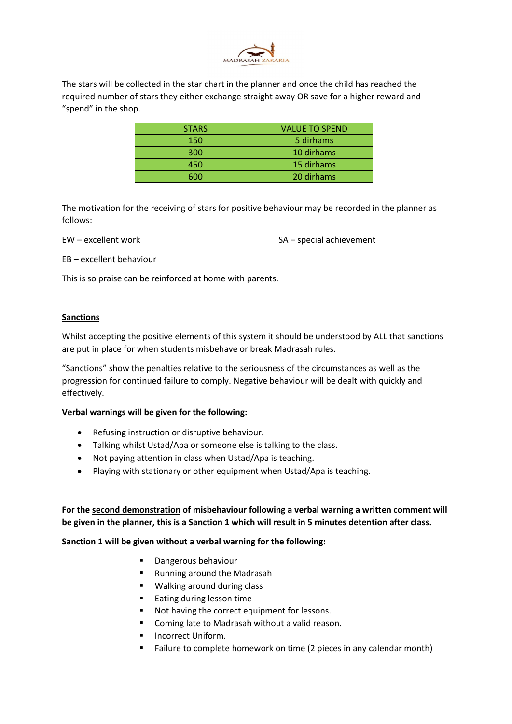

The stars will be collected in the star chart in the planner and once the child has reached the required number of stars they either exchange straight away OR save for a higher reward and "spend" in the shop.

| <b>STARS</b> | <b>VALUE TO SPEND</b> |
|--------------|-----------------------|
| 150          | 5 dirhams             |
| 300          | 10 dirhams            |
| 450          | 15 dirhams            |
| 600          | 20 dirhams            |

The motivation for the receiving of stars for positive behaviour may be recorded in the planner as follows:

EW – excellent work SA – special achievement

EB – excellent behaviour

This is so praise can be reinforced at home with parents.

#### Sanctions

Whilst accepting the positive elements of this system it should be understood by ALL that sanctions are put in place for when students misbehave or break Madrasah rules.

"Sanctions" show the penalties relative to the seriousness of the circumstances as well as the progression for continued failure to comply. Negative behaviour will be dealt with quickly and effectively.

#### Verbal warnings will be given for the following:

- Refusing instruction or disruptive behaviour.
- Talking whilst Ustad/Apa or someone else is talking to the class.
- Not paying attention in class when Ustad/Apa is teaching.
- Playing with stationary or other equipment when Ustad/Apa is teaching.

For the second demonstration of misbehaviour following a verbal warning a written comment will be given in the planner, this is a Sanction 1 which will result in 5 minutes detention after class.

#### Sanction 1 will be given without a verbal warning for the following:

- **-** Dangerous behaviour
- Running around the Madrasah
- Walking around during class
- Eating during lesson time
- Not having the correct equipment for lessons.
- **E** Coming late to Madrasah without a valid reason.
- Incorrect Uniform.
- Failure to complete homework on time (2 pieces in any calendar month)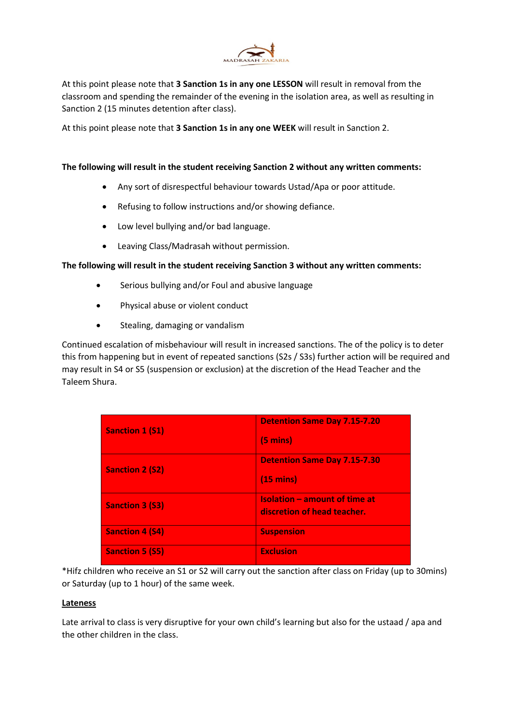

At this point please note that 3 Sanction 1s in any one LESSON will result in removal from the classroom and spending the remainder of the evening in the isolation area, as well as resulting in Sanction 2 (15 minutes detention after class).

At this point please note that 3 Sanction 1s in any one WEEK will result in Sanction 2.

# The following will result in the student receiving Sanction 2 without any written comments:

- Any sort of disrespectful behaviour towards Ustad/Apa or poor attitude.
- Refusing to follow instructions and/or showing defiance.
- Low level bullying and/or bad language.
- Leaving Class/Madrasah without permission.

# The following will result in the student receiving Sanction 3 without any written comments:

- Serious bullying and/or Foul and abusive language
- Physical abuse or violent conduct
- Stealing, damaging or vandalism

Continued escalation of misbehaviour will result in increased sanctions. The of the policy is to deter this from happening but in event of repeated sanctions (S2s / S3s) further action will be required and may result in S4 or S5 (suspension or exclusion) at the discretion of the Head Teacher and the Taleem Shura.

| <b>Sanction 1 (S1)</b> | <b>Detention Same Day 7.15-7.20</b><br>$(5 \text{ mins})$           |
|------------------------|---------------------------------------------------------------------|
| <b>Sanction 2 (S2)</b> | <b>Detention Same Day 7.15-7.30</b><br>$(15 \text{ mins})$          |
| <b>Sanction 3 (S3)</b> | <b>Isolation - amount of time at</b><br>discretion of head teacher. |
| <b>Sanction 4 (S4)</b> | <b>Suspension</b>                                                   |
| <b>Sanction 5 (S5)</b> | <b>Exclusion</b>                                                    |

\*Hifz children who receive an S1 or S2 will carry out the sanction after class on Friday (up to 30mins) or Saturday (up to 1 hour) of the same week.

#### Lateness

Late arrival to class is very disruptive for your own child's learning but also for the ustaad / apa and the other children in the class.